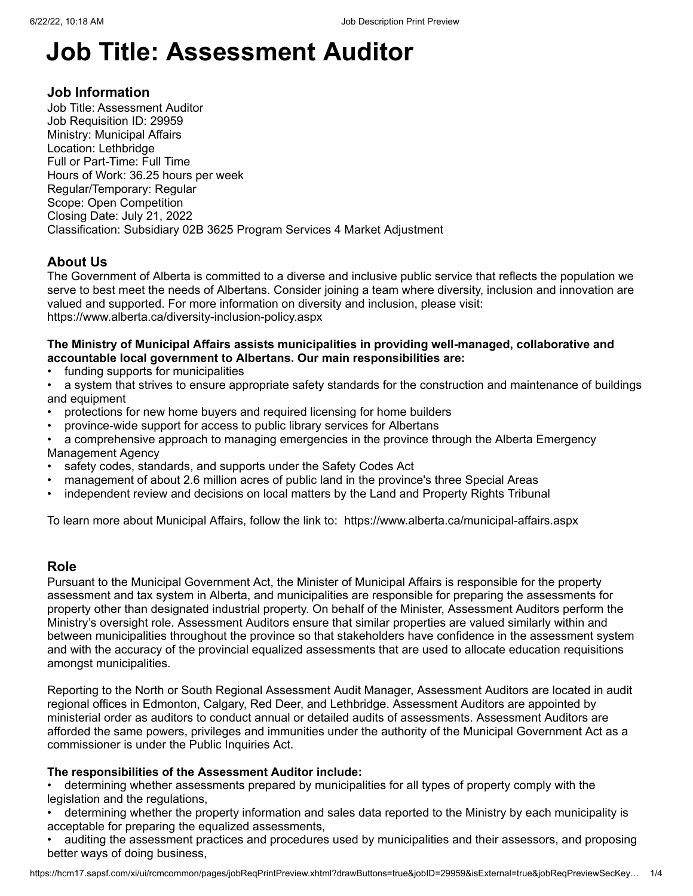# **Job Title: Assessment Auditor**

# **Job Information**

Job Title: Assessment Auditor Job Requisition ID: 29959 Ministry: Municipal Affairs Location: Lethbridge Full or Part-Time: Full Time Hours of Work: 36.25 hours per week Regular/Temporary: Regular Scope: Open Competition Closing Date: July 21, 2022 Classification: Subsidiary 02B 3625 Program Services 4 Market Adjustment

# **About Us**

The Government of Alberta is committed to a diverse and inclusive public service that reflects the population we serve to best meet the needs of Albertans. Consider joining a team where diversity, inclusion and innovation are valued and supported. For more information on diversity and inclusion, please visit: [https://www.alberta.ca/diversity-inclusion-policy.aspx](javascript:void(0);)

## **The Ministry of Municipal Affairs assists municipalities in providing well-managed, collaborative and accountable local government to Albertans. Our main responsibilities are:**

- funding supports for municipalities
- a system that strives to ensure appropriate safety standards for the construction and maintenance of buildings and equipment
- protections for new home buyers and required licensing for home builders
- province-wide support for access to public library services for Albertans
- a comprehensive approach to managing emergencies in the province through the Alberta Emergency Management Agency
- safety codes, standards, and supports under the Safety Codes Act
- management of about 2.6 million acres of public land in the province's three Special Areas
- independent review and decisions on local matters by the Land and Property Rights Tribunal

To learn more about Municipal Affairs, follow the link to: [https://www.alberta.ca/municipal-affairs.aspx](javascript:void(0);)

# **Role**

Pursuant to the Municipal Government Act, the Minister of Municipal Affairs is responsible for the property assessment and tax system in Alberta, and municipalities are responsible for preparing the assessments for property other than designated industrial property. On behalf of the Minister, Assessment Auditors perform the Ministry's oversight role. Assessment Auditors ensure that similar properties are valued similarly within and between municipalities throughout the province so that stakeholders have confidence in the assessment system and with the accuracy of the provincial equalized assessments that are used to allocate education requisitions amongst municipalities.

Reporting to the North or South Regional Assessment Audit Manager, Assessment Auditors are located in audit regional offices in Edmonton, Calgary, Red Deer, and Lethbridge. Assessment Auditors are appointed by ministerial order as auditors to conduct annual or detailed audits of assessments. Assessment Auditors are afforded the same powers, privileges and immunities under the authority of the Municipal Government Act as a commissioner is under the Public Inquiries Act.

#### **The responsibilities of the Assessment Auditor include:**

• determining whether assessments prepared by municipalities for all types of property comply with the legislation and the regulations,

• determining whether the property information and sales data reported to the Ministry by each municipality is acceptable for preparing the equalized assessments,

• auditing the assessment practices and procedures used by municipalities and their assessors, and proposing better ways of doing business,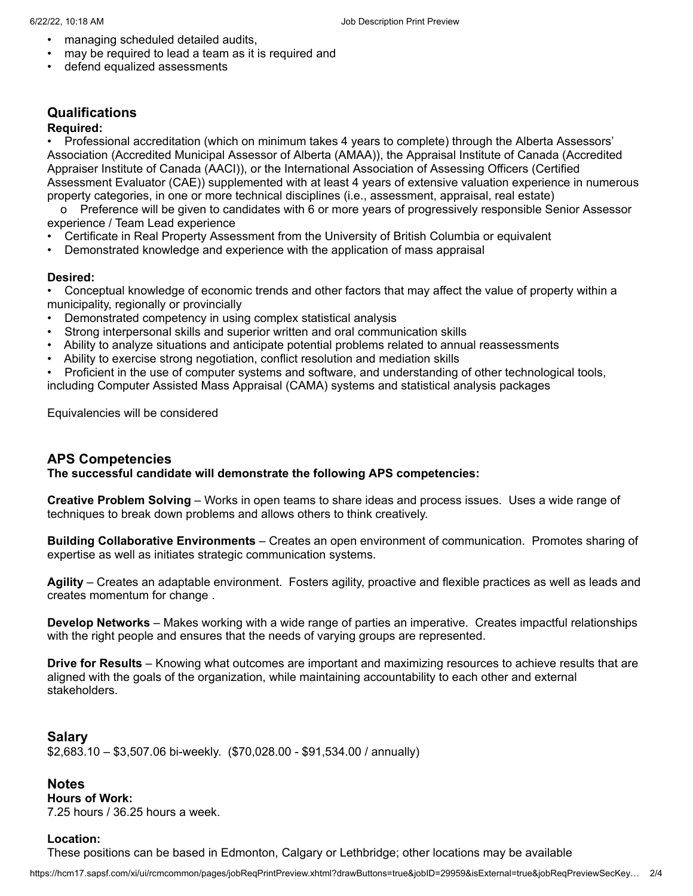- managing scheduled detailed audits,
- may be required to lead a team as it is required and
- defend equalized assessments

# **Qualifications**

# **Required:**

• Professional accreditation (which on minimum takes 4 years to complete) through the Alberta Assessors' Association (Accredited Municipal Assessor of Alberta (AMAA)), the Appraisal Institute of Canada (Accredited Appraiser Institute of Canada (AACI)), or the International Association of Assessing Officers (Certified Assessment Evaluator (CAE)) supplemented with at least 4 years of extensive valuation experience in numerous property categories, in one or more technical disciplines (i.e., assessment, appraisal, real estate)

 o Preference will be given to candidates with 6 or more years of progressively responsible Senior Assessor experience / Team Lead experience

- Certificate in Real Property Assessment from the University of British Columbia or equivalent
- Demonstrated knowledge and experience with the application of mass appraisal

#### **Desired:**

• Conceptual knowledge of economic trends and other factors that may affect the value of property within a municipality, regionally or provincially

- Demonstrated competency in using complex statistical analysis
- Strong interpersonal skills and superior written and oral communication skills
- Ability to analyze situations and anticipate potential problems related to annual reassessments
- Ability to exercise strong negotiation, conflict resolution and mediation skills
- Proficient in the use of computer systems and software, and understanding of other technological tools,

including Computer Assisted Mass Appraisal (CAMA) systems and statistical analysis packages

Equivalencies will be considered

# **APS Competencies**

**The successful candidate will demonstrate the following APS competencies:**

**Creative Problem Solving** – Works in open teams to share ideas and process issues. Uses a wide range of techniques to break down problems and allows others to think creatively.

**Building Collaborative Environments** – Creates an open environment of communication. Promotes sharing of expertise as well as initiates strategic communication systems.

**Agility** – Creates an adaptable environment. Fosters agility, proactive and flexible practices as well as leads and creates momentum for change .

**Develop Networks** – Makes working with a wide range of parties an imperative. Creates impactful relationships with the right people and ensures that the needs of varying groups are represented.

**Drive for Results** – Knowing what outcomes are important and maximizing resources to achieve results that are aligned with the goals of the organization, while maintaining accountability to each other and external stakeholders.

# **Salary**

\$2,683.10 – \$3,507.06 bi-weekly. (\$70,028.00 - \$91,534.00 / annually)

# **Notes**

**Hours of Work:** 7.25 hours / 36.25 hours a week.

#### **Location:**

These positions can be based in Edmonton, Calgary or Lethbridge; other locations may be available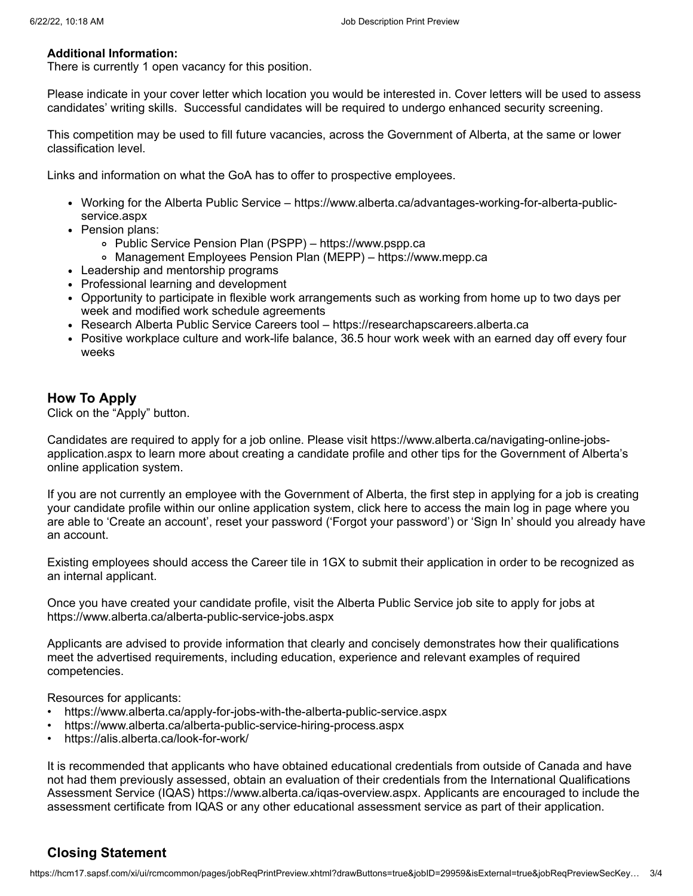#### **Additional Information:**

There is currently 1 open vacancy for this position.

Please indicate in your cover letter which location you would be interested in. Cover letters will be used to assess candidates' writing skills. Successful candidates will be required to undergo enhanced security screening.

This competition may be used to fill future vacancies, across the Government of Alberta, at the same or lower classification level.

Links and information on what the GoA has to offer to prospective employees.

- [Working for the Alberta Public Service https://www.alberta.ca/advantages-working-for-alberta-public](javascript:void(0);)service.aspx
- Pension plans:
	- Public Service Pension Plan (PSPP) – [https://www.pspp.ca](javascript:void(0);)
	- Management Employees Pension Plan (MEPP) [https://www.mepp.ca](javascript:void(0);)
- Leadership and mentorship programs
- Professional learning and development
- Opportunity to participate in flexible work arrangements such as working from home up to two days per week and modified work schedule agreements
- Research Alberta Public Service Careers tool https://researchapscareers.alberta.ca
- Positive workplace culture and work-life balance, 36.5 hour work week with an earned day off every four weeks

## **How To Apply**

Click on the "Apply" button.

Candidates are required to apply for a job online. Please visit https://www.alberta.ca/navigating-online-jobs[application.aspx to learn more about creating a candidate profile and other tips for the Government of Albert](javascript:void(0);)a's online application system.

If you are not currently an employee with the Government of Alberta, the first step in applying for a job is creating your candidate profile within our online application system, click here to access the main log in page where you are able to 'Create an account', reset your password ('Forgot your password') or 'Sign In' should you already have an account.

Existing employees should access the Career tile in 1GX to submit their application in order to be recognized as an internal applicant.

Once you have created your candidate profile, visit the Alberta Public Service job site to apply for jobs at [https://www.alberta.ca/alberta-public-service-jobs.aspx](javascript:void(0);)

Applicants are advised to provide information that clearly and concisely demonstrates how their qualifications meet the advertised requirements, including education, experience and relevant examples of required competencies.

Resources for applicants:

- [https://www.alberta.ca/apply-for-jobs-with-the-alberta-public-service.aspx](javascript:void(0);)
- [https://www.alberta.ca/alberta-public-service-hiring-process.aspx](javascript:void(0);)
- [https://alis.alberta.ca/look-for-work/](javascript:void(0);)

It is recommended that applicants who have obtained educational credentials from outside of Canada and have not had them previously assessed, obtain an evaluation of their credentials from the International Qualifications Assessment Service (IQAS) [https://www.alberta.ca/iqas-overview.aspx](javascript:void(0);). Applicants are encouraged to include the assessment certificate from IQAS or any other educational assessment service as part of their application.

# **Closing Statement**